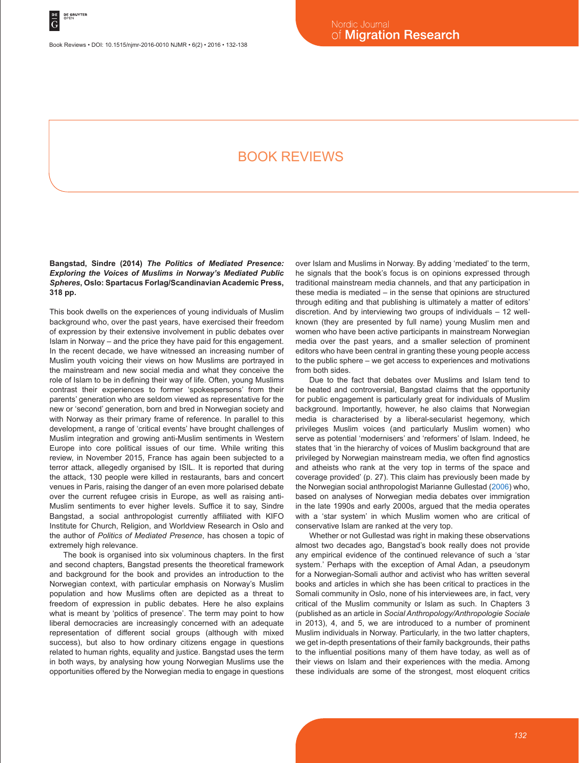Book Reviews • DOI: 10.1515/njmr-2016-0010 NJMR • 6(2) • 2016 • 132-138

# BOOK REVIEWS

**Bangstad, Sindre (2014)** *The Politics of Mediated Presence: Exploring the Voices of Muslims in Norway's Mediated Public Spheres***, Oslo: Spartacus Forlag/Scandinavian Academic Press, 318 pp.**

This book dwells on the experiences of young individuals of Muslim background who, over the past years, have exercised their freedom of expression by their extensive involvement in public debates over Islam in Norway – and the price they have paid for this engagement. In the recent decade, we have witnessed an increasing number of Muslim youth voicing their views on how Muslims are portrayed in the mainstream and new social media and what they conceive the role of Islam to be in defining their way of life. Often, young Muslims contrast their experiences to former 'spokespersons' from their parents' generation who are seldom viewed as representative for the new or 'second' generation, born and bred in Norwegian society and with Norway as their primary frame of reference. In parallel to this development, a range of 'critical events' have brought challenges of Muslim integration and growing anti-Muslim sentiments in Western Europe into core political issues of our time. While writing this review, in November 2015, France has again been subjected to a terror attack, allegedly organised by ISIL. It is reported that during the attack, 130 people were killed in restaurants, bars and concert venues in Paris, raising the danger of an even more polarised debate over the current refugee crisis in Europe, as well as raising anti-Muslim sentiments to ever higher levels. Suffice it to say, Sindre Bangstad, a social anthropologist currently affiliated with KIFO Institute for Church, Religion, and Worldview Research in Oslo and the author of *Politics of Mediated Presence*, has chosen a topic of extremely high relevance.

The book is organised into six voluminous chapters. In the first and second chapters, Bangstad presents the theoretical framework and background for the book and provides an introduction to the Norwegian context, with particular emphasis on Norway's Muslim population and how Muslims often are depicted as a threat to freedom of expression in public debates. Here he also explains what is meant by 'politics of presence'. The term may point to how liberal democracies are increasingly concerned with an adequate representation of different social groups (although with mixed success), but also to how ordinary citizens engage in questions related to human rights, equality and justice. Bangstad uses the term in both ways, by analysing how young Norwegian Muslims use the opportunities offered by the Norwegian media to engage in questions

over Islam and Muslims in Norway. By adding 'mediated' to the term, he signals that the book's focus is on opinions expressed through traditional mainstream media channels, and that any participation in these media is mediated – in the sense that opinions are structured through editing and that publishing is ultimately a matter of editors' discretion. And by interviewing two groups of individuals – 12 wellknown (they are presented by full name) young Muslim men and women who have been active participants in mainstream Norwegian media over the past years, and a smaller selection of prominent editors who have been central in granting these young people access to the public sphere – we get access to experiences and motivations from both sides.

Due to the fact that debates over Muslims and Islam tend to be heated and controversial, Bangstad claims that the opportunity for public engagement is particularly great for individuals of Muslim background. Importantly, however, he also claims that Norwegian media is characterised by a liberal-secularist hegemony, which privileges Muslim voices (and particularly Muslim women) who serve as potential 'modernisers' and 'reformers' of Islam. Indeed, he states that 'in the hierarchy of voices of Muslim background that are privileged by Norwegian mainstream media, we often find agnostics and atheists who rank at the very top in terms of the space and coverage provided' (p. 27). This claim has previously been made by the Norwegian social anthropologist Marianne Gullestad (2006) who, based on analyses of Norwegian media debates over immigration in the late 1990s and early 2000s, argued that the media operates with a 'star system' in which Muslim women who are critical of conservative Islam are ranked at the very top.

Whether or not Gullestad was right in making these observations almost two decades ago, Bangstad's book really does not provide any empirical evidence of the continued relevance of such a 'star system.' Perhaps with the exception of Amal Adan, a pseudonym for a Norwegian-Somali author and activist who has written several books and articles in which she has been critical to practices in the Somali community in Oslo, none of his interviewees are, in fact, very critical of the Muslim community or Islam as such. In Chapters 3 (published as an article in *Social Anthropology/Anthropologie Sociale*  in 2013), 4, and 5, we are introduced to a number of prominent Muslim individuals in Norway. Particularly, in the two latter chapters, we get in-depth presentations of their family backgrounds, their paths to the influential positions many of them have today, as well as of their views on Islam and their experiences with the media. Among these individuals are some of the strongest, most eloquent critics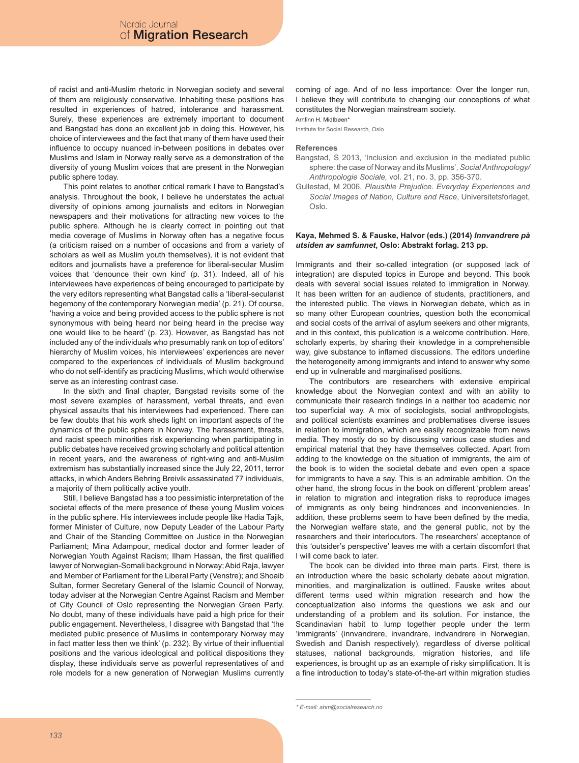of racist and anti-Muslim rhetoric in Norwegian society and several of them are religiously conservative. Inhabiting these positions has resulted in experiences of hatred, intolerance and harassment. Surely, these experiences are extremely important to document and Bangstad has done an excellent job in doing this. However, his choice of interviewees and the fact that many of them have used their influence to occupy nuanced in-between positions in debates over Muslims and Islam in Norway really serve as a demonstration of the diversity of young Muslim voices that are present in the Norwegian public sphere today.

This point relates to another critical remark I have to Bangstad's analysis. Throughout the book, I believe he understates the actual diversity of opinions among journalists and editors in Norwegian newspapers and their motivations for attracting new voices to the public sphere. Although he is clearly correct in pointing out that media coverage of Muslims in Norway often has a negative focus (a criticism raised on a number of occasions and from a variety of scholars as well as Muslim youth themselves), it is not evident that editors and journalists have a preference for liberal-secular Muslim voices that 'denounce their own kind' (p. 31). Indeed, all of his interviewees have experiences of being encouraged to participate by the very editors representing what Bangstad calls a 'liberal-secularist hegemony of the contemporary Norwegian media' (p. 21). Of course, 'having a voice and being provided access to the public sphere is not synonymous with being heard nor being heard in the precise way one would like to be heard' (p. 23). However, as Bangstad has not included any of the individuals who presumably rank on top of editors' hierarchy of Muslim voices, his interviewees' experiences are never compared to the experiences of individuals of Muslim background who do not self-identify as practicing Muslims, which would otherwise serve as an interesting contrast case.

In the sixth and final chapter, Bangstad revisits some of the most severe examples of harassment, verbal threats, and even physical assaults that his interviewees had experienced. There can be few doubts that his work sheds light on important aspects of the dynamics of the public sphere in Norway. The harassment, threats, and racist speech minorities risk experiencing when participating in public debates have received growing scholarly and political attention in recent years, and the awareness of right-wing and anti-Muslim extremism has substantially increased since the July 22, 2011, terror attacks, in which Anders Behring Breivik assassinated 77 individuals, a majority of them politically active youth.

Still, I believe Bangstad has a too pessimistic interpretation of the societal effects of the mere presence of these young Muslim voices in the public sphere. His interviewees include people like Hadia Tajik, former Minister of Culture, now Deputy Leader of the Labour Party and Chair of the Standing Committee on Justice in the Norwegian Parliament; Mina Adampour, medical doctor and former leader of Norwegian Youth Against Racism; Ilham Hassan, the first qualified lawyer of Norwegian-Somali background in Norway; Abid Raja, lawyer and Member of Parliament for the Liberal Party (Venstre); and Shoaib Sultan, former Secretary General of the Islamic Council of Norway, today adviser at the Norwegian Centre Against Racism and Member of City Council of Oslo representing the Norwegian Green Party. No doubt, many of these individuals have paid a high price for their public engagement. Nevertheless, I disagree with Bangstad that 'the mediated public presence of Muslims in contemporary Norway may in fact matter less then we think' (p. 232). By virtue of their influential positions and the various ideological and political dispositions they display, these individuals serve as powerful representatives of and role models for a new generation of Norwegian Muslims currently

coming of age. And of no less importance: Over the longer run, I believe they will contribute to changing our conceptions of what constitutes the Norwegian mainstream society.

Arnfinn H. Midtbøen\*

Institute for Social Research, Oslo

#### **References**

- Bangstad, S 2013, 'Inclusion and exclusion in the mediated public sphere: the case of Norway and its Muslims', *Social Anthropology/ Anthropologie Sociale,* vol. 21, no. 3, pp. 356-370.
- Gullestad, M 2006, *Plausible Prejudice. Everyday Experiences and Social Images of Nation, Culture and Race*, Universitetsforlaget, Oslo.

## **Kaya, Mehmed S. & Fauske, Halvor (eds.) (2014)** *Innvandrere på utsiden av samfunnet***, Oslo: Abstrakt forlag. 213 pp.**

Immigrants and their so-called integration (or supposed lack of integration) are disputed topics in Europe and beyond. This book deals with several social issues related to immigration in Norway. It has been written for an audience of students, practitioners, and the interested public. The views in Norwegian debate, which as in so many other European countries, question both the economical and social costs of the arrival of asylum seekers and other migrants, and in this context, this publication is a welcome contribution. Here, scholarly experts, by sharing their knowledge in a comprehensible way, give substance to inflamed discussions. The editors underline the heterogeneity among immigrants and intend to answer why some end up in vulnerable and marginalised positions.

The contributors are researchers with extensive empirical knowledge about the Norwegian context and with an ability to communicate their research findings in a neither too academic nor too superficial way. A mix of sociologists, social anthropologists, and political scientists examines and problematises diverse issues in relation to immigration, which are easily recognizable from news media. They mostly do so by discussing various case studies and empirical material that they have themselves collected. Apart from adding to the knowledge on the situation of immigrants, the aim of the book is to widen the societal debate and even open a space for immigrants to have a say. This is an admirable ambition. On the other hand, the strong focus in the book on different 'problem areas' in relation to migration and integration risks to reproduce images of immigrants as only being hindrances and inconveniencies. In addition, these problems seem to have been defined by the media, the Norwegian welfare state, and the general public, not by the researchers and their interlocutors. The researchers' acceptance of this 'outsider's perspective' leaves me with a certain discomfort that I will come back to later.

The book can be divided into three main parts. First, there is an introduction where the basic scholarly debate about migration, minorities, and marginalization is outlined. Fauske writes about different terms used within migration research and how the conceptualization also informs the questions we ask and our understanding of a problem and its solution. For instance, the Scandinavian habit to lump together people under the term 'immigrants' (innvandrere, invandrare, indvandrere in Norwegian, Swedish and Danish respectively), regardless of diverse political statuses, national backgrounds, migration histories, and life experiences, is brought up as an example of risky simplification. It is a fine introduction to today's state-of-the-art within migration studies

*<sup>\*</sup> E-mail: ahm@socialresearch.no*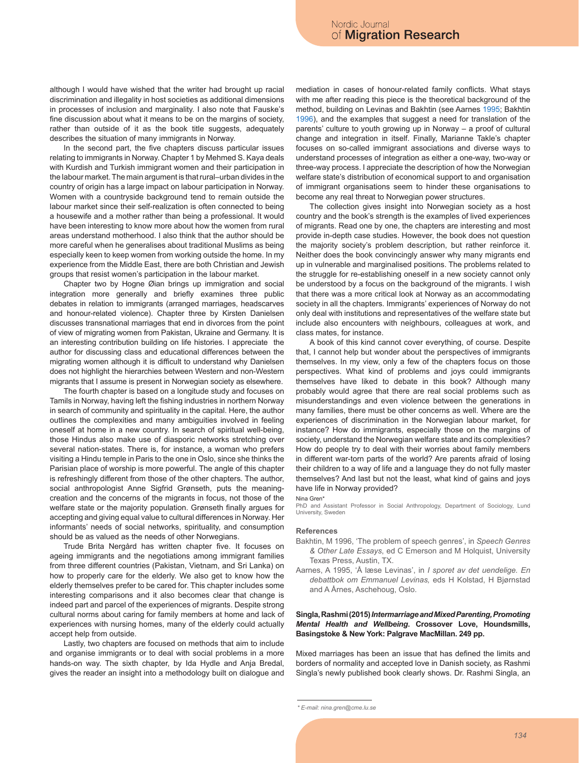although I would have wished that the writer had brought up racial discrimination and illegality in host societies as additional dimensions in processes of inclusion and marginality. I also note that Fauske's fine discussion about what it means to be on the margins of society, rather than outside of it as the book title suggests, adequately describes the situation of many immigrants in Norway.

In the second part, the five chapters discuss particular issues relating to immigrants in Norway. Chapter 1 by Mehmed S. Kaya deals with Kurdish and Turkish immigrant women and their participation in the labour market. The main argument is that rural–urban divides in the country of origin has a large impact on labour participation in Norway. Women with a countryside background tend to remain outside the labour market since their self-realization is often connected to being a housewife and a mother rather than being a professional. It would have been interesting to know more about how the women from rural areas understand motherhood. I also think that the author should be more careful when he generalises about traditional Muslims as being especially keen to keep women from working outside the home. In my experience from the Middle East, there are both Christian and Jewish groups that resist women's participation in the labour market.

Chapter two by Hogne Øian brings up immigration and social integration more generally and briefly examines three public debates in relation to immigrants (arranged marriages, headscarves and honour-related violence). Chapter three by Kirsten Danielsen discusses transnational marriages that end in divorces from the point of view of migrating women from Pakistan, Ukraine and Germany. It is an interesting contribution building on life histories. I appreciate the author for discussing class and educational differences between the migrating women although it is difficult to understand why Danielsen does not highlight the hierarchies between Western and non-Western migrants that I assume is present in Norwegian society as elsewhere.

The fourth chapter is based on a longitude study and focuses on Tamils in Norway, having left the fishing industries in northern Norway in search of community and spirituality in the capital. Here, the author outlines the complexities and many ambiguities involved in feeling oneself at home in a new country. In search of spiritual well-being, those Hindus also make use of diasporic networks stretching over several nation-states. There is, for instance, a woman who prefers visiting a Hindu temple in Paris to the one in Oslo, since she thinks the Parisian place of worship is more powerful. The angle of this chapter is refreshingly different from those of the other chapters. The author, social anthropologist Anne Sigfrid Grønseth, puts the meaningcreation and the concerns of the migrants in focus, not those of the welfare state or the majority population. Grønseth finally argues for accepting and giving equal value to cultural differences in Norway. Her informants' needs of social networks, spirituality, and consumption should be as valued as the needs of other Norwegians.

Trude Brita Nergård has written chapter five. It focuses on ageing immigrants and the negotiations among immigrant families from three different countries (Pakistan, Vietnam, and Sri Lanka) on how to properly care for the elderly. We also get to know how the elderly themselves prefer to be cared for. This chapter includes some interesting comparisons and it also becomes clear that change is indeed part and parcel of the experiences of migrants. Despite strong cultural norms about caring for family members at home and lack of experiences with nursing homes, many of the elderly could actually accept help from outside.

Lastly, two chapters are focused on methods that aim to include and organise immigrants or to deal with social problems in a more hands-on way. The sixth chapter, by Ida Hydle and Anja Bredal, gives the reader an insight into a methodology built on dialogue and mediation in cases of honour-related family conflicts. What stays with me after reading this piece is the theoretical background of the method, building on Levinas and Bakhtin (see Aarnes 1995; Bakhtin 1996), and the examples that suggest a need for translation of the parents' culture to youth growing up in Norway – a proof of cultural change and integration in itself. Finally, Marianne Takle's chapter focuses on so-called immigrant associations and diverse ways to understand processes of integration as either a one-way, two-way or three-way process. I appreciate the description of how the Norwegian welfare state's distribution of economical support to and organisation of immigrant organisations seem to hinder these organisations to become any real threat to Norwegian power structures.

The collection gives insight into Norwegian society as a host country and the book's strength is the examples of lived experiences of migrants. Read one by one, the chapters are interesting and most provide in-depth case studies. However, the book does not question the majority society's problem description, but rather reinforce it. Neither does the book convincingly answer why many migrants end up in vulnerable and marginalised positions. The problems related to the struggle for re-establishing oneself in a new society cannot only be understood by a focus on the background of the migrants. I wish that there was a more critical look at Norway as an accommodating society in all the chapters. Immigrants' experiences of Norway do not only deal with institutions and representatives of the welfare state but include also encounters with neighbours, colleagues at work, and class mates, for instance.

A book of this kind cannot cover everything, of course. Despite that, I cannot help but wonder about the perspectives of immigrants themselves. In my view, only a few of the chapters focus on those perspectives. What kind of problems and joys could immigrants themselves have liked to debate in this book? Although many probably would agree that there are real social problems such as misunderstandings and even violence between the generations in many families, there must be other concerns as well. Where are the experiences of discrimination in the Norwegian labour market, for instance? How do immigrants, especially those on the margins of society, understand the Norwegian welfare state and its complexities? How do people try to deal with their worries about family members in different war-torn parts of the world? Are parents afraid of losing their children to a way of life and a language they do not fully master themselves? And last but not the least, what kind of gains and joys have life in Norway provided?

Nina Gren\*

PhD and Assistant Professor in Social Anthropology, Department of Sociology, Lund University, Sweden

### **References**

- Bakhtin, M 1996, 'The problem of speech genres', in *Speech Genres & Other Late Essays*, ed C Emerson and M Holquist, University Texas Press, Austin, TX.
- Aarnes, A 1995, 'Å læse Levinas', in *I sporet av det uendelige. En debattbok om Emmanuel Levinas,* eds H Kolstad, H Bjørnstad and A Årnes, Aschehoug, Oslo.

## **Singla, Rashmi (2015)** *Intermarriage and Mixed Parenting, Promoting Mental Health and Wellbeing***. Crossover Love, Houndsmills, Basingstoke & New York: Palgrave MacMillan. 249 pp.**

Mixed marriages has been an issue that has defined the limits and borders of normality and accepted love in Danish society, as Rashmi Singla's newly published book clearly shows. Dr. Rashmi Singla, an

*<sup>\*</sup> E-mail: nina.gren@cme.lu.se*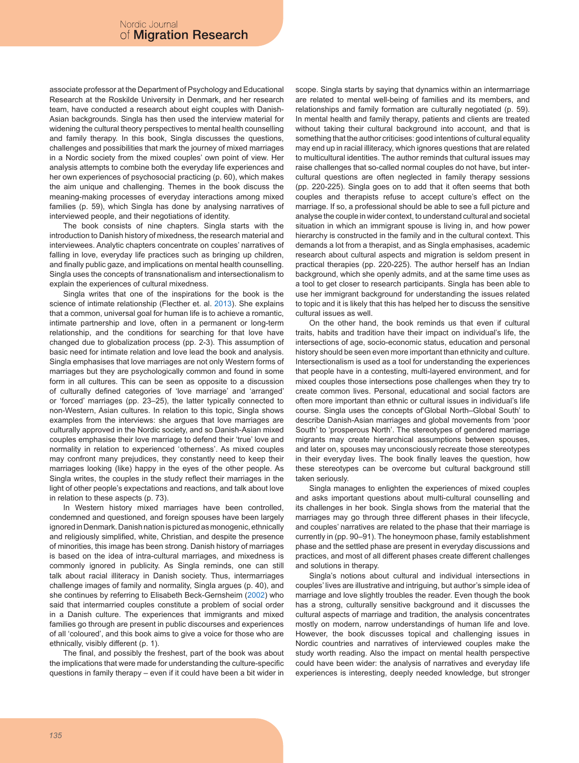associate professor at the Department of Psychology and Educational Research at the Roskilde University in Denmark, and her research team, have conducted a research about eight couples with Danish-Asian backgrounds. Singla has then used the interview material for widening the cultural theory perspectives to mental health counselling and family therapy. In this book, Singla discusses the questions, challenges and possibilities that mark the journey of mixed marriages in a Nordic society from the mixed couples' own point of view. Her analysis attempts to combine both the everyday life experiences and her own experiences of psychosocial practicing (p. 60), which makes the aim unique and challenging. Themes in the book discuss the meaning-making processes of everyday interactions among mixed families (p. 59), which Singla has done by analysing narratives of interviewed people, and their negotiations of identity.

The book consists of nine chapters. Singla starts with the introduction to Danish history of mixedness, the research material and interviewees. Analytic chapters concentrate on couples' narratives of falling in love, everyday life practices such as bringing up children, and finally public gaze, and implications on mental health counselling. Singla uses the concepts of transnationalism and intersectionalism to explain the experiences of cultural mixedness.

Singla writes that one of the inspirations for the book is the science of intimate relationship (Flecther et. al. 2013). She explains that a common, universal goal for human life is to achieve a romantic, intimate partnership and love, often in a permanent or long-term relationship, and the conditions for searching for that love have changed due to globalization process (pp. 2-3). This assumption of basic need for intimate relation and love lead the book and analysis. Singla emphasises that love marriages are not only Western forms of marriages but they are psychologically common and found in some form in all cultures. This can be seen as opposite to a discussion of culturally defined categories of 'love marriage' and 'arranged' or 'forced' marriages (pp. 23–25), the latter typically connected to non-Western, Asian cultures. In relation to this topic, Singla shows examples from the interviews: she argues that love marriages are culturally approved in the Nordic society, and so Danish-Asian mixed couples emphasise their love marriage to defend their 'true' love and normality in relation to experienced 'otherness'. As mixed couples may confront many prejudices, they constantly need to keep their marriages looking (like) happy in the eyes of the other people. As Singla writes, the couples in the study reflect their marriages in the light of other people's expectations and reactions, and talk about love in relation to these aspects (p. 73).

In Western history mixed marriages have been controlled, condemned and questioned, and foreign spouses have been largely ignored in Denmark. Danish nation is pictured as monogenic, ethnically and religiously simplified, white, Christian, and despite the presence of minorities, this image has been strong. Danish history of marriages is based on the idea of intra-cultural marriages, and mixedness is commonly ignored in publicity. As Singla reminds, one can still talk about racial illiteracy in Danish society. Thus, intermarriages challenge images of family and normality, Singla argues (p. 40), and she continues by referring to Elisabeth Beck-Gernsheim (2002) who said that intermarried couples constitute a problem of social order in a Danish culture. The experiences that immigrants and mixed families go through are present in public discourses and experiences of all 'coloured', and this book aims to give a voice for those who are ethnically, visibly different (p. 1).

The final, and possibly the freshest, part of the book was about the implications that were made for understanding the culture-specific questions in family therapy – even if it could have been a bit wider in scope. Singla starts by saying that dynamics within an intermarriage are related to mental well-being of families and its members, and relationships and family formation are culturally negotiated (p. 59). In mental health and family therapy, patients and clients are treated without taking their cultural background into account, and that is something that the author criticises: good intentions of cultural equality may end up in racial illiteracy, which ignores questions that are related to multicultural identities. The author reminds that cultural issues may raise challenges that so-called normal couples do not have, but intercultural questions are often neglected in family therapy sessions (pp. 220-225). Singla goes on to add that it often seems that both couples and therapists refuse to accept culture's effect on the marriage. If so, a professional should be able to see a full picture and analyse the couple in wider context, to understand cultural and societal situation in which an immigrant spouse is living in, and how power hierarchy is constructed in the family and in the cultural context. This demands a lot from a therapist, and as Singla emphasises, academic research about cultural aspects and migration is seldom present in practical therapies (pp. 220-225). The author herself has an Indian background, which she openly admits, and at the same time uses as a tool to get closer to research participants. Singla has been able to use her immigrant background for understanding the issues related to topic and it is likely that this has helped her to discuss the sensitive cultural issues as well.

On the other hand, the book reminds us that even if cultural traits, habits and tradition have their impact on individual's life, the intersections of age, socio-economic status, education and personal history should be seen even more important than ethnicity and culture. Intersectionalism is used as a tool for understanding the experiences that people have in a contesting, multi-layered environment, and for mixed couples those intersections pose challenges when they try to create common lives. Personal, educational and social factors are often more important than ethnic or cultural issues in individual's life course. Singla uses the concepts of'Global North–Global South' to describe Danish-Asian marriages and global movements from 'poor South' to 'prosperous North'. The stereotypes of gendered marriage migrants may create hierarchical assumptions between spouses, and later on, spouses may unconsciously recreate those stereotypes in their everyday lives. The book finally leaves the question, how these stereotypes can be overcome but cultural background still taken seriously.

Singla manages to enlighten the experiences of mixed couples and asks important questions about multi-cultural counselling and its challenges in her book. Singla shows from the material that the marriages may go through three different phases in their lifecycle, and couples' narratives are related to the phase that their marriage is currently in (pp. 90–91). The honeymoon phase, family establishment phase and the settled phase are present in everyday discussions and practices, and most of all different phases create different challenges and solutions in therapy.

Singla's notions about cultural and individual intersections in couples' lives are illustrative and intriguing, but author's simple idea of marriage and love slightly troubles the reader. Even though the book has a strong, culturally sensitive background and it discusses the cultural aspects of marriage and tradition, the analysis concentrates mostly on modern, narrow understandings of human life and love. However, the book discusses topical and challenging issues in Nordic countries and narratives of interviewed couples make the study worth reading. Also the impact on mental health perspective could have been wider: the analysis of narratives and everyday life experiences is interesting, deeply needed knowledge, but stronger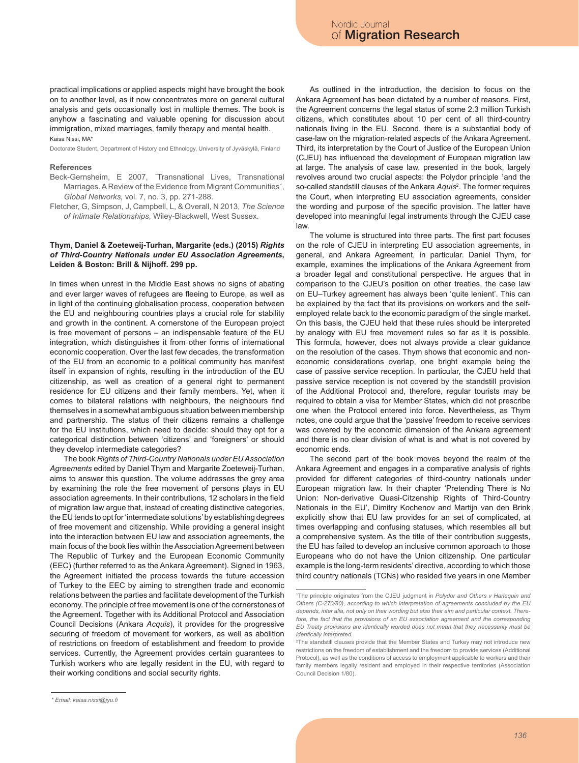practical implications or applied aspects might have brought the book on to another level, as it now concentrates more on general cultural analysis and gets occasionally lost in multiple themes. The book is anyhow a fascinating and valuable opening for discussion about immigration, mixed marriages, family therapy and mental health. Kaisa Nissi, MA\*

Doctorate Student, Department of History and Ethnology, University of Jyväskylä, Finland

## **References**

- Beck-Gernsheim, E 2007, ´Transnational Lives, Transnational Marriages. A Review of the Evidence from Migrant Communities´, *Global Networks,* vol. 7, no. 3, pp. 271-288.
- Fletcher, G, Simpson, J, Campbell, L, & Overall, N 2013, *The Science of Intimate Relationships*, Wiley-Blackwell, West Sussex.

# **Thym, Daniel & Zoeteweij-Turhan, Margarite (eds.) (2015)** *Rights of Third-Country Nationals under EU Association Agreements***, Leiden & Boston: Brill & Nijhoff. 299 pp.**

In times when unrest in the Middle East shows no signs of abating and ever larger waves of refugees are fleeing to Europe, as well as in light of the continuing globalisation process, cooperation between the EU and neighbouring countries plays a crucial role for stability and growth in the continent. A cornerstone of the European project is free movement of persons – an indispensable feature of the EU integration, which distinguishes it from other forms of international economic cooperation. Over the last few decades, the transformation of the EU from an economic to a political community has manifest itself in expansion of rights, resulting in the introduction of the EU citizenship, as well as creation of a general right to permanent residence for EU citizens and their family members. Yet, when it comes to bilateral relations with neighbours, the neighbours find themselves in a somewhat ambiguous situation between membership and partnership. The status of their citizens remains a challenge for the EU institutions, which need to decide: should they opt for a categorical distinction between 'citizens' and 'foreigners' or should they develop intermediate categories?

The book *Rights of Third-Country Nationals under EU Association Agreements* edited by Daniel Thym and Margarite Zoeteweij-Turhan, aims to answer this question. The volume addresses the grey area by examining the role the free movement of persons plays in EU association agreements. In their contributions, 12 scholars in the field of migration law argue that, instead of creating distinctive categories, the EU tends to opt for 'intermediate solutions' by establishing degrees of free movement and citizenship. While providing a general insight into the interaction between EU law and association agreements, the main focus of the book lies within the Association Agreement between The Republic of Turkey and the European Economic Community (EEC) (further referred to as the Ankara Agreement). Signed in 1963, the Agreement initiated the process towards the future accession of Turkey to the EEC by aiming to strengthen trade and economic relations between the parties and facilitate development of the Turkish economy. The principle of free movement is one of the cornerstones of the Agreement. Together with its Additional Protocol and Association Council Decisions (Ankara *Acquis*), it provides for the progressive securing of freedom of movement for workers, as well as abolition of restrictions on freedom of establishment and freedom to provide services. Currently, the Agreement provides certain guarantees to Turkish workers who are legally resident in the EU, with regard to their working conditions and social security rights.

As outlined in the introduction, the decision to focus on the Ankara Agreement has been dictated by a number of reasons. First, the Agreement concerns the legal status of some 2.3 million Turkish citizens, which constitutes about 10 per cent of all third-country nationals living in the EU. Second, there is a substantial body of case-law on the migration-related aspects of the Ankara Agreement. Third, its interpretation by the Court of Justice of the European Union (CJEU) has influenced the development of European migration law at large. The analysis of case law, presented in the book, largely revolves around two crucial aspects: the Polydor principle 1 and the so-called standstill clauses of the Ankara *Aquis*<sup>2</sup> . The former requires the Court, when interpreting EU association agreements, consider the wording and purpose of the specific provision. The latter have developed into meaningful legal instruments through the CJEU case law.

The volume is structured into three parts. The first part focuses on the role of CJEU in interpreting EU association agreements, in general, and Ankara Agreement, in particular. Daniel Thym, for example, examines the implications of the Ankara Agreement from a broader legal and constitutional perspective. He argues that in comparison to the CJEU's position on other treaties, the case law on EU–Turkey agreement has always been 'quite lenient'. This can be explained by the fact that its provisions on workers and the selfemployed relate back to the economic paradigm of the single market. On this basis, the CJEU held that these rules should be interpreted by analogy with EU free movement rules so far as it is possible. This formula, however, does not always provide a clear guidance on the resolution of the cases. Thym shows that economic and noneconomic considerations overlap, one bright example being the case of passive service reception. In particular, the CJEU held that passive service reception is not covered by the standstill provision of the Additional Protocol and, therefore, regular tourists may be required to obtain a visa for Member States, which did not prescribe one when the Protocol entered into force. Nevertheless, as Thym notes, one could argue that the 'passive' freedom to receive services was covered by the economic dimension of the Ankara agreement and there is no clear division of what is and what is not covered by economic ends.

The second part of the book moves beyond the realm of the Ankara Agreement and engages in a comparative analysis of rights provided for different categories of third-country nationals under European migration law. In their chapter 'Pretending There is No Union: Non-derivative Quasi-Citzenship Rights of Third-Country Nationals in the EU', Dimitry Kochenov and Martijn van den Brink explicitly show that EU law provides for an set of complicated, at times overlapping and confusing statuses, which resembles all but a comprehensive system. As the title of their contribution suggests, the EU has failed to develop an inclusive common approach to those Europeans who do not have the Union citizenship. One particular example is the long-term residents' directive, according to which those third country nationals (TCNs) who resided five years in one Member

<sup>1</sup> The principle originates from the CJEU judgment in *Polydor and Others v Harlequin and Others (C-270/80), according to which interpretation of agreements concluded by the EU depends, inter alia, not only on their wording but also their aim and particular context. There*fore, the fact that the provisions of an EU association agreement and the corresponding *EU Treaty provisions are identically worded does not mean that they necessarily must be identically interpreted.*

<sup>2</sup> The standstill clauses provide that the Member States and Turkey may not introduce new restrictions on the freedom of establishment and the freedom to provide services (Additional Protocol), as well as the conditions of access to employment applicable to workers and their family members legally resident and employed in their respective territories (Association Council Decision 1/80).

*<sup>\*</sup> Email: kaisa.nissi@jyu.fi*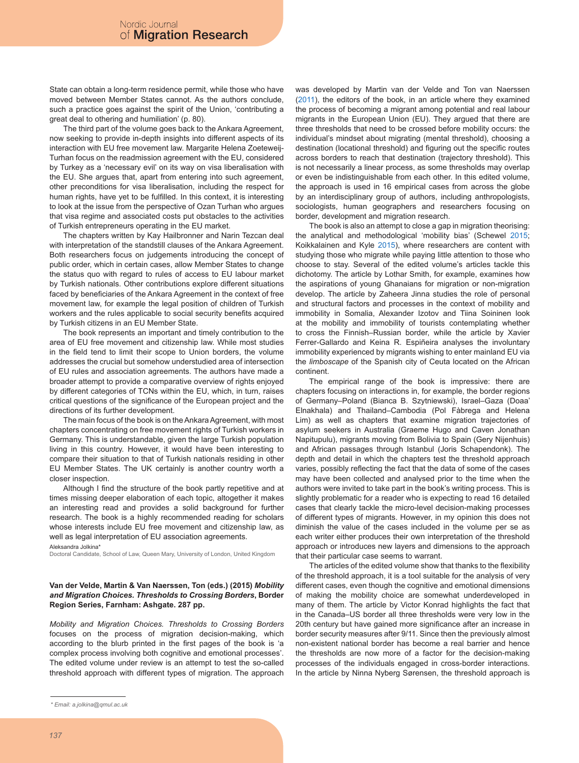State can obtain a long-term residence permit, while those who have moved between Member States cannot. As the authors conclude, such a practice goes against the spirit of the Union, 'contributing a great deal to othering and humiliation' (p. 80).

The third part of the volume goes back to the Ankara Agreement, now seeking to provide in-depth insights into different aspects of its interaction with EU free movement law. Margarite Helena Zoeteweij-Turhan focus on the readmission agreement with the EU, considered by Turkey as a 'necessary evil' on its way on visa liberalisation with the EU. She argues that, apart from entering into such agreement, other preconditions for visa liberalisation, including the respect for human rights, have yet to be fulfilled. In this context, it is interesting to look at the issue from the perspective of Ozan Turhan who argues that visa regime and associated costs put obstacles to the activities of Turkish entrepreneurs operating in the EU market.

The chapters written by Kay Hailbronner and Narin Tezcan deal with interpretation of the standstill clauses of the Ankara Agreement. Both researchers focus on judgements introducing the concept of public order, which in certain cases, allow Member States to change the status quo with regard to rules of access to EU labour market by Turkish nationals. Other contributions explore different situations faced by beneficiaries of the Ankara Agreement in the context of free movement law, for example the legal position of children of Turkish workers and the rules applicable to social security benefits acquired by Turkish citizens in an EU Member State.

The book represents an important and timely contribution to the area of EU free movement and citizenship law. While most studies in the field tend to limit their scope to Union borders, the volume addresses the crucial but somehow understudied area of intersection of EU rules and association agreements. The authors have made a broader attempt to provide a comparative overview of rights enjoyed by different categories of TCNs within the EU, which, in turn, raises critical questions of the significance of the European project and the directions of its further development.

The main focus of the book is on the Ankara Agreement, with most chapters concentrating on free movement rights of Turkish workers in Germany. This is understandable, given the large Turkish population living in this country. However, it would have been interesting to compare their situation to that of Turkish nationals residing in other EU Member States. The UK certainly is another country worth a closer inspection.

Although I find the structure of the book partly repetitive and at times missing deeper elaboration of each topic, altogether it makes an interesting read and provides a solid background for further research. The book is a highly recommended reading for scholars whose interests include EU free movement and citizenship law, as well as legal interpretation of EU association agreements.

Aleksandra Jolkina\*

Doctoral Candidate, School of Law, Queen Mary, University of London, United Kingdom

# **Van der Velde, Martin & Van Naerssen, Ton (eds.) (2015)** *Mobility and Migration Choices. Thresholds to Crossing Borders***, Border Region Series, Farnham: Ashgate. 287 pp.**

*Mobility and Migration Choices. Thresholds to Crossing Borders* focuses on the process of migration decision-making, which according to the blurb printed in the first pages of the book is 'a complex process involving both cognitive and emotional processes'. The edited volume under review is an attempt to test the so-called threshold approach with different types of migration. The approach was developed by Martin van der Velde and Ton van Naerssen (2011), the editors of the book, in an article where they examined the process of becoming a migrant among potential and real labour migrants in the European Union (EU). They argued that there are three thresholds that need to be crossed before mobility occurs: the individual's mindset about migrating (mental threshold), choosing a destination (locational threshold) and figuring out the specific routes across borders to reach that destination (trajectory threshold). This is not necessarily a linear process, as some thresholds may overlap or even be indistinguishable from each other. In this edited volume, the approach is used in 16 empirical cases from across the globe by an interdisciplinary group of authors, including anthropologists, sociologists, human geographers and researchers focusing on border, development and migration research.

The book is also an attempt to close a gap in migration theorising: the analytical and methodological 'mobility bias' (Schewel 2015; Koikkalainen and Kyle 2015), where researchers are content with studying those who migrate while paying little attention to those who choose to stay. Several of the edited volume's articles tackle this dichotomy. The article by Lothar Smith, for example, examines how the aspirations of young Ghanaians for migration or non-migration develop. The article by Zaheera Jinna studies the role of personal and structural factors and processes in the context of mobility and immobility in Somalia, Alexander Izotov and Tiina Soininen look at the mobility and immobility of tourists contemplating whether to cross the Finnish–Russian border, while the article by Xavier Ferrer-Gallardo and Keina R. Espiñeira analyses the involuntary immobility experienced by migrants wishing to enter mainland EU via the *limboscape* of the Spanish city of Ceuta located on the African continent.

The empirical range of the book is impressive: there are chapters focusing on interactions in, for example, the border regions of Germany–Poland (Bianca B. Szytniewski), Israel–Gaza (Doaa' Elnakhala) and Thailand–Cambodia (Pol Fàbrega and Helena Lim) as well as chapters that examine migration trajectories of asylum seekers in Australia (Graeme Hugo and Caven Jonathan Napitupulu), migrants moving from Bolivia to Spain (Gery Nijenhuis) and African passages through Istanbul (Joris Schapendonk). The depth and detail in which the chapters test the threshold approach varies, possibly reflecting the fact that the data of some of the cases may have been collected and analysed prior to the time when the authors were invited to take part in the book's writing process. This is slightly problematic for a reader who is expecting to read 16 detailed cases that clearly tackle the micro-level decision-making processes of different types of migrants. However, in my opinion this does not diminish the value of the cases included in the volume per se as each writer either produces their own interpretation of the threshold approach or introduces new layers and dimensions to the approach that their particular case seems to warrant.

The articles of the edited volume show that thanks to the flexibility of the threshold approach, it is a tool suitable for the analysis of very different cases, even though the cognitive and emotional dimensions of making the mobility choice are somewhat underdeveloped in many of them. The article by Victor Konrad highlights the fact that in the Canada–US border all three thresholds were very low in the 20th century but have gained more significance after an increase in border security measures after 9/11. Since then the previously almost non-existent national border has become a real barrier and hence the thresholds are now more of a factor for the decision-making processes of the individuals engaged in cross-border interactions. In the article by Ninna Nyberg Sørensen, the threshold approach is

*<sup>\*</sup> Email: a.jolkina@qmul.ac.uk*